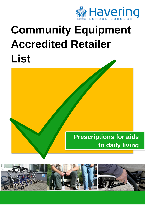

## **Community Equipment Accredited Retailer List**



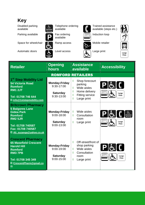## **Key**

Parking available **Fax ordering** Induction loop

Automatic doors **Level access** CL<sub>2</sub> Large print



 Disabled parking Telephone ordering Trained assistance available available available (steps etc.)

available











| <b>Retailer</b>                                                                                                                                                                     | <b>Opening</b><br><b>hours</b>                                          | <b>Assistance</b><br>available                                                                                                                | <b>Accessibility</b>                            |
|-------------------------------------------------------------------------------------------------------------------------------------------------------------------------------------|-------------------------------------------------------------------------|-----------------------------------------------------------------------------------------------------------------------------------------------|-------------------------------------------------|
|                                                                                                                                                                                     |                                                                         | <b>ROMFORD RETAILERS</b>                                                                                                                      |                                                 |
| 1 <sup>st</sup> Step Mobility Ltd<br><b>54 Victoria Road</b><br><b>Romford</b><br><b>RM1 2JT</b><br>Tel: 01708 746 644<br>E:info@1ststepmobility.com                                | <b>Monday-Friday</b><br>$9:30 - 17:00$<br><b>Saturday</b><br>9:30-13:00 | Shop forecourt<br>♦<br>parking<br>Wide aisles<br>$\Diamond$<br>Home delivery<br>♦<br><b>Fitting service</b><br>♦<br>Large print<br>$\Diamond$ | $P$ [ $\epsilon$ ] (<br>Large<br>Print          |
| <b>Britcrown Pharmacy</b><br><b>5 Balgores Lane</b><br><b>Gidea Park</b><br><b>Romford</b><br><b>RM2 5JR</b><br>Tel: 01708 740587<br>Fax: 01708 740587<br>E:Ali_suzanga@yahoo.co.uk | <b>Monday-Friday</b><br>9:00-18:00<br><b>Saturday</b><br>$9:00 - 13:00$ | Wide aisles<br>♦<br>Consultation<br>♦<br>room<br>Large print<br>$\Diamond$                                                                    | $P$ $6$ $($<br>し、<br>Disabled<br>Large<br>Print |
| <b>Crescent Pharmacy</b><br><b>65 Masefield Crescent</b><br><b>Harold Hill</b><br><b>Romford</b><br><b>RM3 7PB</b><br>Tel: 01708 345 349<br>E:CrescentPharm@gmail.co<br>m           | <b>Monday-Friday</b><br>9:00-19:00<br><b>Saturday</b><br>$9:00 - 15:00$ | Off-street/front of<br>♦<br>shop parking<br>Wide aisles<br>$\Diamond$<br>Consultation<br>♦<br>room<br>Large print<br>$\Diamond$               | $P_{\alpha}$ $\alpha$<br>Large<br>Print         |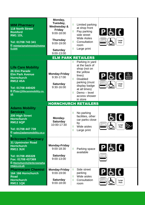| <b>MIM Pharmacy</b><br><b>118 North Street</b><br><b>Romford</b><br><b>RM1 1DL</b><br>Tel: 01708 743 341<br>E:mimtariqmahmood@hotma<br>il.com                                          | Monday,<br>Tuesday,<br><b>Wednesday &amp;</b><br><b>Friday</b><br>9:00-18:00<br><b>Thursday</b><br>9:00-19:00<br><b>Saturday</b><br>9:00-13:00 | ♦<br>Limited parking<br>at shop front<br>P[f]()<br>Pay parking<br>$\Diamond$<br>side street<br><b>Wide Aisles</b><br>Large<br>Consultation<br>♦<br>Print<br>room<br>Large print<br>♦                                                                                                             |
|----------------------------------------------------------------------------------------------------------------------------------------------------------------------------------------|------------------------------------------------------------------------------------------------------------------------------------------------|--------------------------------------------------------------------------------------------------------------------------------------------------------------------------------------------------------------------------------------------------------------------------------------------------|
|                                                                                                                                                                                        |                                                                                                                                                | <b>ELM PARK RETAILERS</b>                                                                                                                                                                                                                                                                        |
| <b>Life Care Mobility</b><br><b>26 Elm Parade</b><br><b>Elm Park Avenue</b><br><b>Hornchurch</b><br><b>RM12 4SA</b><br>Tel: 01708 440420<br>E: Peter@lifecaremobility.co.<br><u>uk</u> | <b>Monday-Friday</b><br>9:30-17:00<br><b>Saturday</b><br>9:30-16:00                                                                            | Parking in yard<br>♦<br>at the back of<br>shop (not on<br>the yellow<br>$P$ [ $\in$ $[$ $\ell$ $]$<br>ے<br>Disabled<br>lines)<br>Parking<br><b>Disabled</b><br>♦<br>parking (must<br>Large<br>display badge<br>Print<br>at all times)<br>Demo - level<br>$\Diamond$<br>access shower<br>in store |
|                                                                                                                                                                                        |                                                                                                                                                | <b>HORNCHURCH RETAILERS</b>                                                                                                                                                                                                                                                                      |
| <b>Adams Mobility</b><br><b>Services</b><br>200 High Street<br><b>Hornchurch</b><br><b>RM12 6QP</b><br>Tel: 01708 447 739<br>E:sales@adamsmobility.co.u<br><u>k</u>                    | Monday-<br><b>Saturday</b><br>10:00-17:30                                                                                                      | No parking<br>$\Diamond$<br>GL<br>facilities, other<br>car parks close<br>by<br>Large<br>Wide aisles<br>Print<br>Large print<br>♦                                                                                                                                                                |
| <b>Britcrown Pharmacy</b><br><b>31 Upminster Road</b><br><b>Hornchurch</b><br><b>RM11 3UX</b><br>Tel: 01708 455328<br>Fax: 01708 437369<br>E:Hornchurch@britcrownpha<br>rmacy.co.uk    | <b>Monday-Friday</b><br>9:00-18:30<br><b>Saturday</b><br>9:00-13:00                                                                            | $P[$ & $[$ (<br>Parking space<br>♦<br>available                                                                                                                                                                                                                                                  |
| <b>Pharmacare Chemist</b><br>164 166 Hornchurch<br><b>Road</b><br><b>Hornchurch</b><br><b>RM11 1QK</b>                                                                                 | <b>Monday-Friday</b><br>9:00-19:00<br><b>Saturday</b><br>9:00-18:00                                                                            | Side street<br>♦<br>PEC<br>parking<br>Wide aisles<br>♦<br>Consultation<br>♦<br>Large<br>Print<br>room                                                                                                                                                                                            |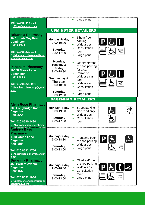| Tel: 01708 447 703<br>E:S1kka@yahoo.co.uk                                                                                                                                |                                                                                                                                                         | Large print<br>♦                                                                                                                                                                       |                                                                       |
|--------------------------------------------------------------------------------------------------------------------------------------------------------------------------|---------------------------------------------------------------------------------------------------------------------------------------------------------|----------------------------------------------------------------------------------------------------------------------------------------------------------------------------------------|-----------------------------------------------------------------------|
|                                                                                                                                                                          |                                                                                                                                                         | <b>UPMINSTER RETAILERS</b>                                                                                                                                                             |                                                                       |
| <b>Britannia Pharmacy</b><br><b>36 Corbets Tey Road</b><br><b>Upminster</b><br><b>RM14 2AD</b><br>Tel: 01708 220 194<br>E:Britannia.corbetstey@brita<br>nniapharmacy.com | <b>Monday-Friday</b><br>9:00-19:00<br><b>Saturday</b><br>9:30-17:30                                                                                     | 1 hour free<br>♦<br>parking<br>Wide aisles<br>♦<br>Consultation<br>♦<br>room<br>Large print<br>♦                                                                                       | $[P]$ é $[$<br>Large<br>Print                                         |
| <b>Panchem Pharmacy</b><br><b>160 St Marys Lane</b><br><b>Upminster</b><br><b>RM14 3BS</b><br>Tel: 01708 220 061<br>E: Panchem.pharmacy@gmail<br>.com                    | Monday,<br>Tuesday &<br><b>Friday</b><br>9:00-18:30<br><b>Wednesday &amp;</b><br><b>Thursday</b><br>$9:00 - 18:00$<br><b>Saturday</b><br>$9:00 - 12:00$ | Off-street/front<br>♦<br>of shop parking<br>for 1 car<br>Permit or<br>♦<br>Waitrose car<br>park<br>Wide aisles<br>$\Diamond$<br>Consultation<br>$\Diamond$<br>room<br>Large print<br>♦ | $P$ [ $\in$ [ $\int$ ]<br>Large<br>Print                              |
|                                                                                                                                                                          |                                                                                                                                                         | <b>DAGENHAM RETAILERS</b>                                                                                                                                                              |                                                                       |
| <b>Alvin Rose Pharmacy</b><br>606 Longbridge Road<br><b>Dagenham</b><br><b>RM8 2AJ</b>                                                                                   | <b>Monday-Friday</b><br>9:00-19:00                                                                                                                      | Street parking<br>♦<br>side road only<br>Wide aisles<br>$\Diamond$                                                                                                                     | $\mathbb{C}$                                                          |
| Tel: 020 8590 1480<br>E:Alvinrose.chemist@nhs.net                                                                                                                        | <b>Saturday</b><br>9:00-17:00                                                                                                                           | Consultation<br>♦<br>room                                                                                                                                                              |                                                                       |
| <b>Andrew Bass</b><br><b>Pharmacy</b><br>1148 Green Lane<br><b>Dagenham</b><br><b>RM8 1BP</b><br>Tel: 020 8592 1756<br>E:Andrewbass.pharmacy@nh<br>s.net                 | <b>Monday-Friday</b><br>9:00-18:30<br><b>Saturday</b><br>9:00-13:00                                                                                     | Front and back<br>♦<br>of shop parking<br>Wide aisles<br>♦<br>Large print<br>♦                                                                                                         | よ<br>$P$   $\epsilon$<br><b>Disabled</b><br>Parking<br>Large<br>Print |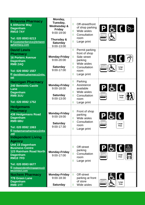| <b>Britannia Pharmacy</b><br><b>5 Althorne Way</b><br><b>Dagenham</b><br><b>RM107AY</b><br>Tel: 020 8593 6213<br>E:CustomerService@britanni<br>apharmacy.com                                                               | Monday,<br>Tuesday,<br><b>Wednesday &amp;</b><br><b>Friday</b><br>9:00-19:00<br>Thursday &<br><b>Saturday</b><br>$9:00 - 13:00$ | $\Diamond$<br>Off-street/front<br>of shop parking<br>Wide aisles<br>♦<br>$\Diamond$<br>Consultation<br>room<br>Large print<br>♦                            | $P$ & ( ) $\triangleright$                                      |
|----------------------------------------------------------------------------------------------------------------------------------------------------------------------------------------------------------------------------|---------------------------------------------------------------------------------------------------------------------------------|------------------------------------------------------------------------------------------------------------------------------------------------------------|-----------------------------------------------------------------|
| <b>David Lewis</b><br><b>Pharmacy</b><br><b>16 Porters Avenue</b><br><b>Dagenham</b><br><b>RM8 2AQ</b><br>Tel: 020 8592 1557<br>E:davidlewis.pharmacy@nhs.<br>net                                                          | <b>Monday-Friday</b><br>$9:00 - 20:00$<br><b>Saturday</b><br>9:00-17:00                                                         | Permit parking<br>♦<br>front of shop<br>Side street<br>$\Diamond$<br>parking<br>Wide aisles<br>♦<br>Consultation<br>$\Diamond$<br>room<br>♦<br>Large print | d(f)<br>Large<br>Print                                          |
| <b>Hannigan Pharmacy</b><br><b>240 Bennetts Castle</b><br><b>Lane</b><br><b>Dagenham</b><br><b>RM8 3UU</b><br>Tel: 020 8592 1752                                                                                           | <b>Monday-Friday</b><br>$9:00 - 18:00$<br><b>Saturday</b><br>9:00-13:00                                                         | Parking<br>$\Diamond$<br>Assistance<br>♦<br>available<br>Wide aisles<br>$\Diamond$<br>Consultation<br>♦<br>room<br>Large print<br>♦                        | PEC<br>Large<br>Print                                           |
| <b>Hedgemans</b><br><b>Pharmacy</b><br><b>438 Hedgemans Road</b><br><b>Dagenham</b><br>RM9 6BU<br>Tel: 020 8592 1063<br>E:hedgemanspharmacy@nhs<br>.net                                                                    | <b>Monday-Friday</b><br>9:00-19:00<br><b>Saturday</b><br>9:00-17:30                                                             | Front of shop<br>♦<br>parking<br>Wide aisles<br>♦<br>Consultation<br>♦<br>room<br>Large print<br>♦                                                         | PEC<br>Large<br>Print                                           |
| <b>Independent Living</b><br><b>Agency</b><br><b>Unit 15 Dagenham</b><br><b>Business Centre</b><br><b>123 Rainham Road North</b><br><b>Dagenham</b><br><b>RM10 7FD</b><br>Tel: 020 8593 6677<br>E:independentlivingagency@ | <b>Monday-Friday</b><br>9:00-17:00                                                                                              | Off-street<br>♦<br>parking<br>Consultation<br>♦<br>room<br>Large print<br>♦                                                                                | $P_{\alpha}$<br>ے<br>Disabled<br>Parking<br>Large<br>后<br>Print |
| btconnect.com<br><b>Nuchem Pharmacy</b><br><b>778 Green Lane</b><br><b>Dagenham</b><br><b>RM8 1YT</b>                                                                                                                      | <b>Monday-Friday</b><br>9:00-18:30<br><b>Saturday</b>                                                                           | Off-street<br>♦<br>parking at front<br>of store<br>Wide aisles<br>♦                                                                                        | Large<br>Print                                                  |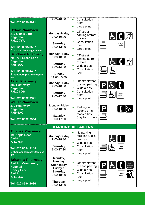| Tel: 020 8590 4921<br><b>Oxlow Pharmacy</b><br>217 Oxlow Lane<br><b>Dagenham</b><br><b>RM10 7YA</b><br>Tel: 020 8595 8527                                                                              | 9:00-18:00<br><b>Monday-Friday</b><br>9:00-19:00<br><b>Saturday</b><br>9:00-13:00                                            | Consultation<br>♦<br>room<br>Large print<br>♦<br>Off-street<br>♦<br>parking at front<br>of store<br>Consultation<br>♦<br>room                                                                                  | GL(2)<br>Large<br>Print                                    |
|--------------------------------------------------------------------------------------------------------------------------------------------------------------------------------------------------------|------------------------------------------------------------------------------------------------------------------------------|----------------------------------------------------------------------------------------------------------------------------------------------------------------------------------------------------------------|------------------------------------------------------------|
| E: oxlow.chemist@nhs.net<br><b>Sandbern Pharmacy</b><br><b>703 705 Green Lane</b><br><b>Dagenham</b><br><b>RM8 1UU</b><br>Tel: 020 8590 4407<br>E:Sandbern.pharmacy@nhs.<br>net                        | <b>Monday-Friday</b><br>9:00-18:30<br><b>Saturday</b><br>9:00-14:00<br>Sunday<br>11:00-15:00                                 | Large print<br>♦<br>$\Diamond$<br>Off-street<br>parking at front<br>of store<br>Wide aisles<br>♦<br>Consultation<br>♦<br>room                                                                                  | GL(3)                                                      |
| <b>Talati Pharmacy</b><br>282 Heathway<br><b>Dagenham</b><br><b>RM108QS</b><br>Tel: 020 8592 3321<br><b>Waller Pharmacy</b><br>279 Heathway<br><b>Dagenham</b><br><b>RM9 5AQ</b><br>Tel: 020 8592 2934 | <b>Monday-Friday</b><br>9:00-18:30<br><b>Saturday</b><br>9:00-17:30<br>Monday-Friday<br>9:00-18:30<br>Saturday<br>9:00-17:30 | Off-street/front<br>$\Diamond$<br>of shop parking<br>Wide aisles<br>$\Diamond$<br>♦<br>Consultation<br>room<br>Large print<br>♦<br>$\Diamond$<br>Parking in<br>Iceland or in<br>marked bay<br>(pay for 1 hour) | $P$ [ $\in$ [ $\int$ ]<br>Large<br>Print<br>P              |
|                                                                                                                                                                                                        |                                                                                                                              | <b>BARKING RETAILERS</b>                                                                                                                                                                                       |                                                            |
| <b>Thomas Pharmacy</b><br><b>19 Ripple Road</b><br><b>Barking</b><br><b>IG11 7NN</b><br>Tel: 020 8594 2148<br>E:thomaspharmacy@gmail.c<br>om                                                           | <b>Monday-Friday</b><br>9:00-18:30<br><b>Saturday</b><br>9:00-17:30                                                          | No parking<br>♦<br>facilities (Lidl's<br>nearby)<br>Wide aisles<br>♦<br>Consultation<br>♦<br>room<br>Large print<br>♦                                                                                          | $\mathbf{d}$<br>Large<br>Print                             |
| <b>Britannia Pharmacy</b><br><b>Barking Community</b><br><b>Hospital</b><br><b>Upney Lane</b><br><b>Barking</b><br><b>IG11 9LX</b><br>Tel: 020 8594 2686                                               | Monday,<br>Tuesday,<br>Wednesday,<br>Friday &<br><b>Saturday</b><br>9:00-18:00<br><b>Thursday</b><br>9:00-13:00              | $\Diamond$<br>Off-street/front<br>of shop parking<br>Wide aisles<br>♦<br>Consultation<br>$\Diamond$<br>room<br>Large print<br>♦                                                                                | ے<br>Disabled<br>$P_{\alpha}$<br>Parking<br>Large<br>Print |